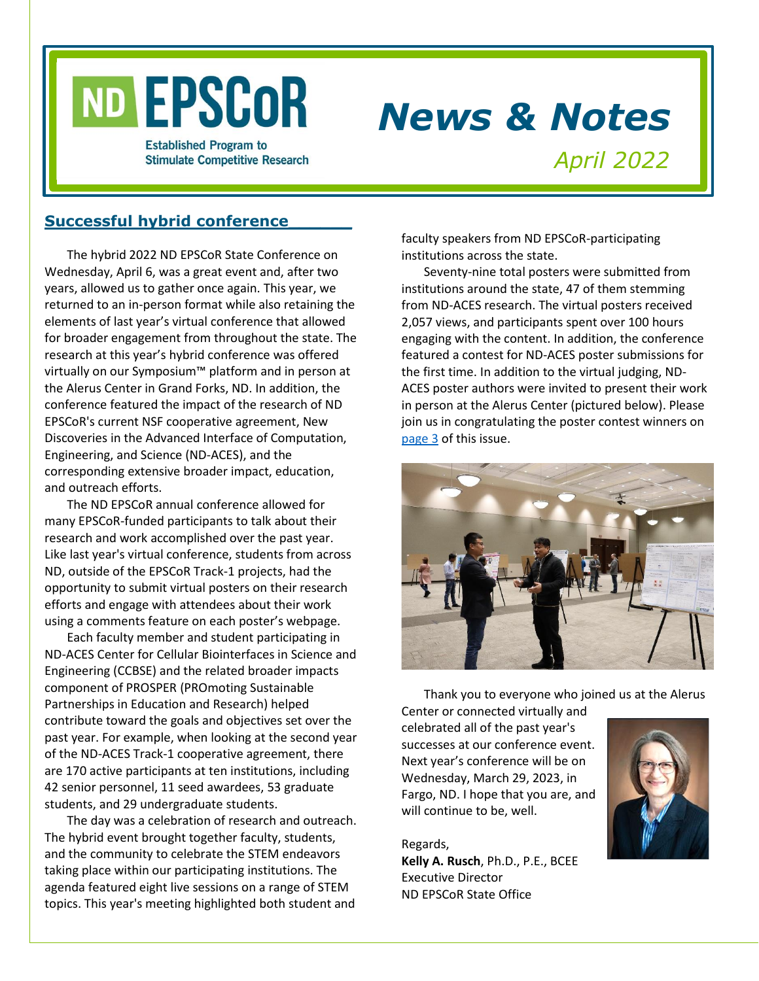

# *News & Notes*

**Established Program to Stimulate Competitive Research** 

*April 2022*

# **Successful hybrid conference\_\_\_\_\_\_**

The hybrid 2022 ND EPSCoR State Conference on Wednesday, April 6, was a great event and, after two years, allowed us to gather once again. This year, we returned to an in-person format while also retaining the elements of last year's virtual conference that allowed for broader engagement from throughout the state. The research at this year's hybrid conference was offered virtually on our Symposium™ platform and in person at the Alerus Center in Grand Forks, ND. In addition, the conference featured the impact of the research of ND EPSCoR's current NSF cooperative agreement, New Discoveries in the Advanced Interface of Computation, Engineering, and Science (ND-ACES), and the corresponding extensive broader impact, education, and outreach efforts.

The ND EPSCoR annual conference allowed for many EPSCoR-funded participants to talk about their research and work accomplished over the past year. Like last year's virtual conference, students from across ND, outside of the EPSCoR Track-1 projects, had the opportunity to submit virtual posters on their research efforts and engage with attendees about their work using a comments feature on each poster's webpage.

Each faculty member and student participating in ND-ACES Center for Cellular Biointerfaces in Science and Engineering (CCBSE) and the related broader impacts component of PROSPER (PROmoting Sustainable Partnerships in Education and Research) helped contribute toward the goals and objectives set over the past year. For example, when looking at the second year of the ND-ACES Track-1 cooperative agreement, there are 170 active participants at ten institutions, including 42 senior personnel, 11 seed awardees, 53 graduate students, and 29 undergraduate students.

The day was a celebration of research and outreach. The hybrid event brought together faculty, students, and the community to celebrate the STEM endeavors taking place within our participating institutions. The agenda featured eight live sessions on a range of STEM topics. This year's meeting highlighted both student and

faculty speakers from ND EPSCoR-participating institutions across the state.

Seventy-nine total posters were submitted from institutions around the state, 47 of them stemming from ND-ACES research. The virtual posters received 2,057 views, and participants spent over 100 hours engaging with the content. In addition, the conference featured a contest for ND-ACES poster submissions for the first time. In addition to the virtual judging, ND-ACES poster authors were invited to present their work in person at the Alerus Center (pictured below). Please join us in congratulating the poster contest winners on [page 3](#page-2-0) of this issue.



Thank you to everyone who joined us at the Alerus

Center or connected virtually and celebrated all of the past year's successes at our conference event. Next year's conference will be on Wednesday, March 29, 2023, in Fargo, ND. I hope that you are, and will continue to be, well.

Regards, **Kelly A. Rusch**, Ph.D., P.E., BCEE Executive Director ND EPSCoR State Office

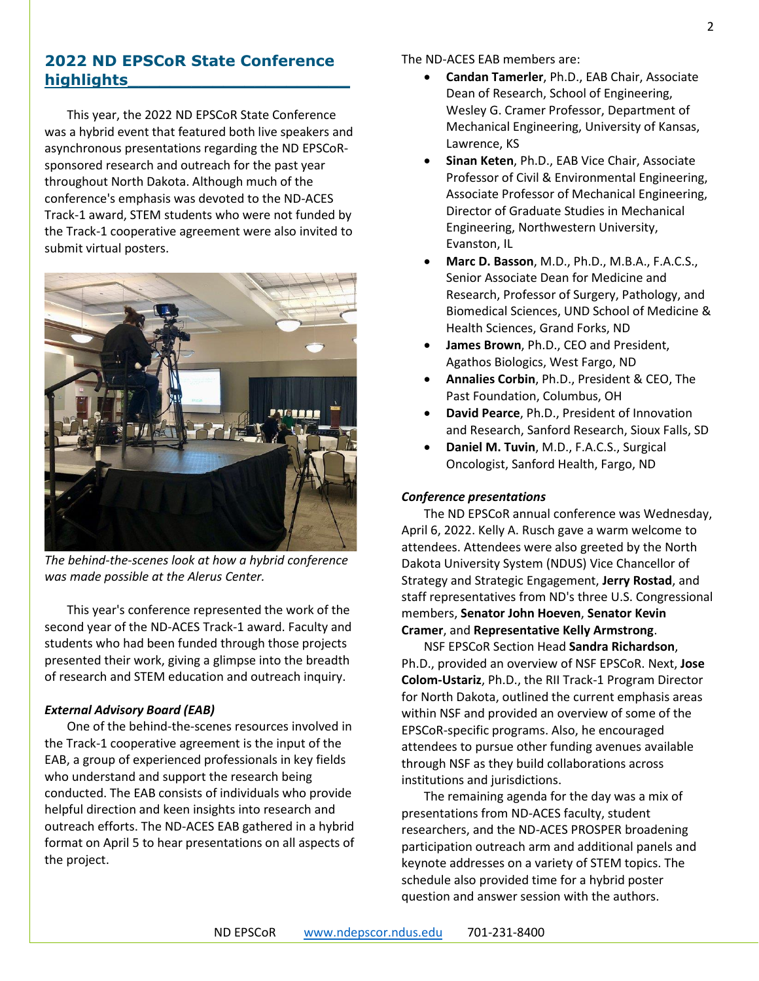## **2022 ND EPSCoR State Conference highlights\_\_\_\_\_\_\_\_\_\_\_\_\_\_\_\_\_\_\_\_\_**

This year, the 2022 ND EPSCoR State Conference was a hybrid event that featured both live speakers and asynchronous presentations regarding the ND EPSCoRsponsored research and outreach for the past year throughout North Dakota. Although much of the conference's emphasis was devoted to the ND-ACES Track-1 award, STEM students who were not funded by the Track-1 cooperative agreement were also invited to submit virtual posters.



*The behind-the-scenes look at how a hybrid conference was made possible at the Alerus Center.*

This year's conference represented the work of the second year of the ND-ACES Track-1 award. Faculty and students who had been funded through those projects presented their work, giving a glimpse into the breadth of research and STEM education and outreach inquiry.

#### *External Advisory Board (EAB)*

One of the behind-the-scenes resources involved in the Track-1 cooperative agreement is the input of the EAB, a group of experienced professionals in key fields who understand and support the research being conducted. The EAB consists of individuals who provide helpful direction and keen insights into research and outreach efforts. The ND-ACES EAB gathered in a hybrid format on April 5 to hear presentations on all aspects of the project.

The ND-ACES EAB members are:

- **Candan Tamerler**, Ph.D., EAB Chair, Associate Dean of Research, School of Engineering, Wesley G. Cramer Professor, Department of Mechanical Engineering, University of Kansas, Lawrence, KS
- **Sinan Keten**, Ph.D., EAB Vice Chair, Associate Professor of Civil & Environmental Engineering, Associate Professor of Mechanical Engineering, Director of Graduate Studies in Mechanical Engineering, Northwestern University, Evanston, IL
- **Marc D. Basson**, M.D., Ph.D., M.B.A., F.A.C.S., Senior Associate Dean for Medicine and Research, Professor of Surgery, Pathology, and Biomedical Sciences, UND School of Medicine & Health Sciences, Grand Forks, ND
- **James Brown**, Ph.D., CEO and President, Agathos Biologics, West Fargo, ND
- **Annalies Corbin**, Ph.D., President & CEO, The Past Foundation, Columbus, OH
- **David Pearce**, Ph.D., President of Innovation and Research, Sanford Research, Sioux Falls, SD
- **Daniel M. Tuvin**, M.D., F.A.C.S., Surgical Oncologist, Sanford Health, Fargo, ND

#### *Conference presentations*

The ND EPSCoR annual conference was Wednesday, April 6, 2022. Kelly A. Rusch gave a warm welcome to attendees. Attendees were also greeted by the North Dakota University System (NDUS) Vice Chancellor of Strategy and Strategic Engagement, **Jerry Rostad**, and staff representatives from ND's three U.S. Congressional members, **Senator John Hoeven**, **Senator Kevin Cramer**, and **Representative Kelly Armstrong**.

NSF EPSCoR Section Head **Sandra Richardson**, Ph.D., provided an overview of NSF EPSCoR. Next, **Jose Colom-Ustariz**, Ph.D., the RII Track-1 Program Director for North Dakota, outlined the current emphasis areas within NSF and provided an overview of some of the EPSCoR-specific programs. Also, he encouraged attendees to pursue other funding avenues available through NSF as they build collaborations across institutions and jurisdictions.

The remaining agenda for the day was a mix of presentations from ND-ACES faculty, student researchers, and the ND-ACES PROSPER broadening participation outreach arm and additional panels and keynote addresses on a variety of STEM topics. The schedule also provided time for a hybrid poster question and answer session with the authors.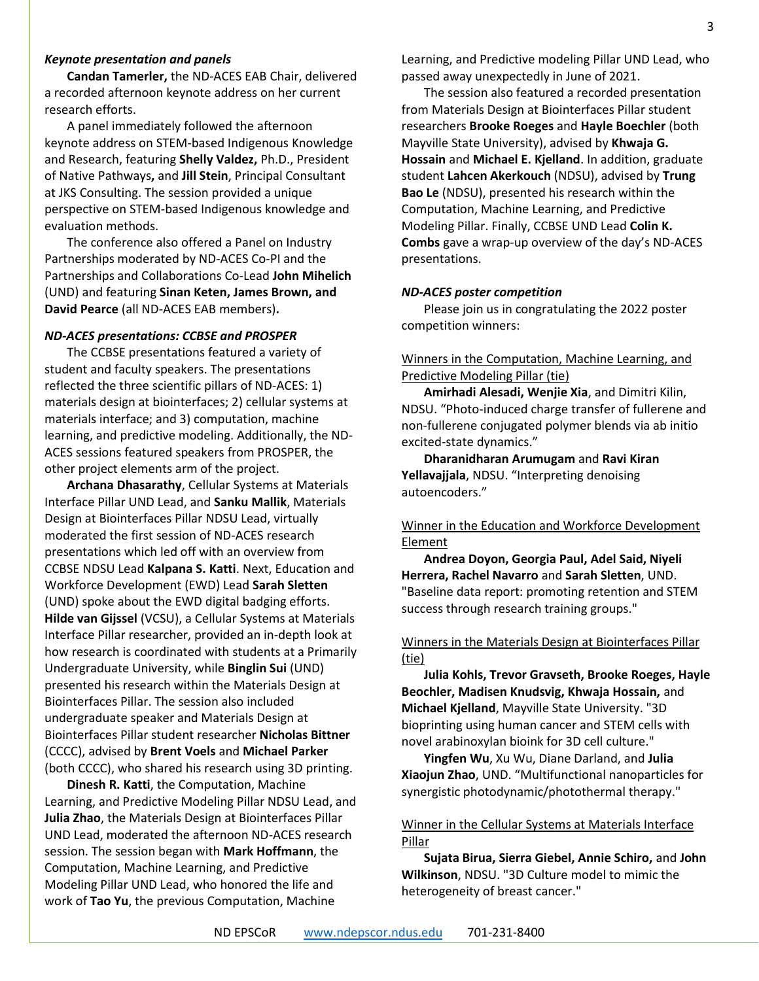#### *Keynote presentation and panels*

**Candan Tamerler,** the ND-ACES EAB Chair, delivered a recorded afternoon keynote address on her current research efforts.

A panel immediately followed the afternoon keynote address on STEM-based Indigenous Knowledge and Research, featuring **Shelly Valdez,** Ph.D., President of Native Pathways**,** and **Jill Stein**, Principal Consultant at JKS Consulting. The session provided a unique perspective on STEM-based Indigenous knowledge and evaluation methods.

The conference also offered a Panel on Industry Partnerships moderated by ND-ACES Co-PI and the Partnerships and Collaborations Co-Lead **John Mihelich** (UND) and featuring **Sinan Keten, James Brown, and David Pearce** (all ND-ACES EAB members)**.**

#### *ND-ACES presentations: CCBSE and PROSPER*

The CCBSE presentations featured a variety of student and faculty speakers. The presentations reflected the three scientific pillars of ND-ACES: 1) materials design at biointerfaces; 2) cellular systems at materials interface; and 3) computation, machine learning, and predictive modeling. Additionally, the ND-ACES sessions featured speakers from PROSPER, the other project elements arm of the project.

**Archana Dhasarathy**, Cellular Systems at Materials Interface Pillar UND Lead, and **Sanku Mallik**, Materials Design at Biointerfaces Pillar NDSU Lead, virtually moderated the first session of ND-ACES research presentations which led off with an overview from CCBSE NDSU Lead **Kalpana S. Katti**. Next, Education and Workforce Development (EWD) Lead **Sarah Sletten** (UND) spoke about the EWD digital badging efforts. **Hilde van Gijssel** (VCSU), a Cellular Systems at Materials Interface Pillar researcher, provided an in-depth look at how research is coordinated with students at a Primarily Undergraduate University, while **Binglin Sui** (UND) presented his research within the Materials Design at Biointerfaces Pillar. The session also included undergraduate speaker and Materials Design at Biointerfaces Pillar student researcher **Nicholas Bittner** (CCCC), advised by **Brent Voels** and **Michael Parker** (both CCCC), who shared his research using 3D printing.

**Dinesh R. Katti**, the Computation, Machine Learning, and Predictive Modeling Pillar NDSU Lead, and **Julia Zhao**, the Materials Design at Biointerfaces Pillar UND Lead, moderated the afternoon ND-ACES research session. The session began with **Mark Hoffmann**, the Computation, Machine Learning, and Predictive Modeling Pillar UND Lead, who honored the life and work of **Tao Yu**, the previous Computation, Machine

Learning, and Predictive modeling Pillar UND Lead, who passed away unexpectedly in June of 2021.

The session also featured a recorded presentation from Materials Design at Biointerfaces Pillar student researchers **Brooke Roeges** and **Hayle Boechler** (both Mayville State University), advised by **Khwaja G. Hossain** and **Michael E. Kjelland**. In addition, graduate student **Lahcen Akerkouch** (NDSU), advised by **Trung Bao Le** (NDSU), presented his research within the Computation, Machine Learning, and Predictive Modeling Pillar. Finally, CCBSE UND Lead **Colin K. Combs** gave a wrap-up overview of the day's ND-ACES presentations.

#### <span id="page-2-0"></span>*ND-ACES poster competition*

Please join us in congratulating the 2022 poster competition winners:

#### Winners in the Computation, Machine Learning, and Predictive Modeling Pillar (tie)

**Amirhadi Alesadi, Wenjie Xia**, and Dimitri Kilin, NDSU. "Photo-induced charge transfer of fullerene and non-fullerene conjugated polymer blends via ab initio excited-state dynamics."

**Dharanidharan Arumugam** and **Ravi Kiran Yellavajjala**, NDSU. "Interpreting denoising autoencoders."

## Winner in the Education and Workforce Development Element

**Andrea Doyon, Georgia Paul, Adel Said, Niyeli Herrera, Rachel Navarro** and **Sarah Sletten**, UND. "Baseline data report: promoting retention and STEM success through research training groups."

#### Winners in the Materials Design at Biointerfaces Pillar (tie)

**Julia Kohls, Trevor Gravseth, Brooke Roeges, Hayle Beochler, Madisen Knudsvig, Khwaja Hossain,** and **Michael Kjelland**, Mayville State University. "3D bioprinting using human cancer and STEM cells with novel arabinoxylan bioink for 3D cell culture."

**Yingfen Wu**, Xu Wu, Diane Darland, and **Julia Xiaojun Zhao**, UND. "Multifunctional nanoparticles for synergistic photodynamic/photothermal therapy."

#### Winner in the Cellular Systems at Materials Interface Pillar

**Sujata Birua, Sierra Giebel, Annie Schiro,** and **John Wilkinson**, NDSU. "3D Culture model to mimic the heterogeneity of breast cancer."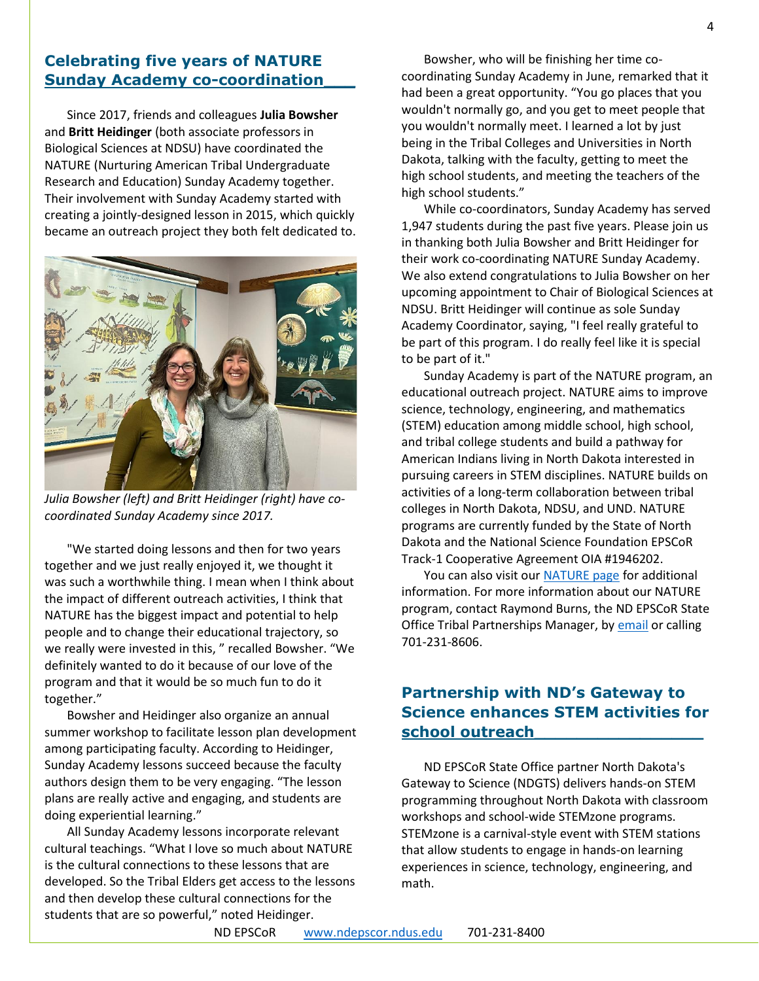# **Celebrating five years of NATURE Sunday Academy co-coordination\_\_\_**

Since 2017, friends and colleagues **Julia Bowsher** and **Britt Heidinger** (both associate professors in Biological Sciences at NDSU) have coordinated the NATURE (Nurturing American Tribal Undergraduate Research and Education) Sunday Academy together. Their involvement with Sunday Academy started with creating a jointly-designed lesson in 2015, which quickly became an outreach project they both felt dedicated to.



*Julia Bowsher (left) and Britt Heidinger (right) have cocoordinated Sunday Academy since 2017.*

"We started doing lessons and then for two years together and we just really enjoyed it, we thought it was such a worthwhile thing. I mean when I think about the impact of different outreach activities, I think that NATURE has the biggest impact and potential to help people and to change their educational trajectory, so we really were invested in this, " recalled Bowsher. "We definitely wanted to do it because of our love of the program and that it would be so much fun to do it together."

Bowsher and Heidinger also organize an annual summer workshop to facilitate lesson plan development among participating faculty. According to Heidinger, Sunday Academy lessons succeed because the faculty authors design them to be very engaging. "The lesson plans are really active and engaging, and students are doing experiential learning."

All Sunday Academy lessons incorporate relevant cultural teachings. "What I love so much about NATURE is the cultural connections to these lessons that are developed. So the Tribal Elders get access to the lessons and then develop these cultural connections for the students that are so powerful," noted Heidinger.

Bowsher, who will be finishing her time cocoordinating Sunday Academy in June, remarked that it had been a great opportunity. "You go places that you wouldn't normally go, and you get to meet people that you wouldn't normally meet. I learned a lot by just being in the Tribal Colleges and Universities in North Dakota, talking with the faculty, getting to meet the high school students, and meeting the teachers of the high school students."

While co-coordinators, Sunday Academy has served 1,947 students during the past five years. Please join us in thanking both Julia Bowsher and Britt Heidinger for their work co-coordinating NATURE Sunday Academy. We also extend congratulations to Julia Bowsher on her upcoming appointment to Chair of Biological Sciences at NDSU. Britt Heidinger will continue as sole Sunday Academy Coordinator, saying, "I feel really grateful to be part of this program. I do really feel like it is special to be part of it."

Sunday Academy is part of the NATURE program, an educational outreach project. NATURE aims to improve science, technology, engineering, and mathematics (STEM) education among middle school, high school, and tribal college students and build a pathway for American Indians living in North Dakota interested in pursuing careers in STEM disciplines. NATURE builds on activities of a long-term collaboration between tribal colleges in North Dakota, NDSU, and UND. NATURE programs are currently funded by the State of North Dakota and the National Science Foundation EPSCoR Track-1 Cooperative Agreement OIA #1946202.

You can also visit ou[r NATURE page](https://www.ndepscor.ndus.edu/nd-epscor-programs/nature/) for additional information. For more information about our NATURE program, contact Raymond Burns, the ND EPSCoR State Office Tribal Partnerships Manager, by [email](mailto:raymond.burns@ndus.edu) or calling 701-231-8606.

# **Partnership with ND's Gateway to Science enhances STEM activities for school outreach\_\_\_\_\_\_\_\_\_\_\_\_\_\_\_\_**

ND EPSCoR State Office partner North Dakota's Gateway to Science (NDGTS) delivers hands-on STEM programming throughout North Dakota with classroom workshops and school-wide STEMzone programs. STEMzone is a carnival-style event with STEM stations that allow students to engage in hands-on learning experiences in science, technology, engineering, and math.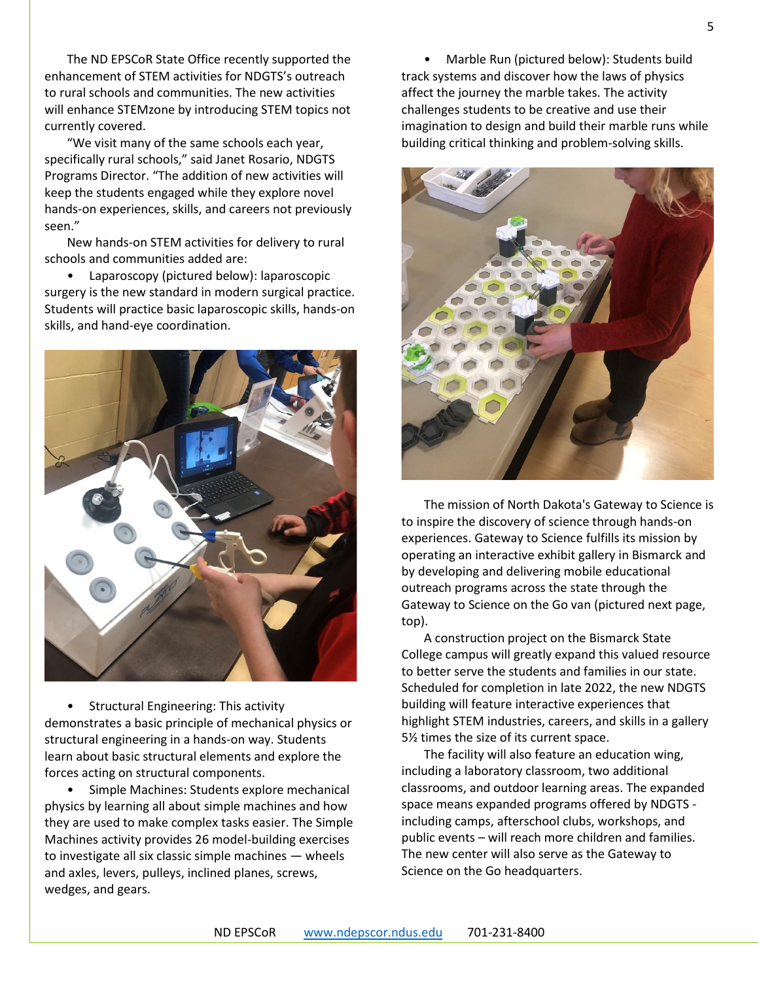The ND EPSCoR State Office recently supported the enhancement of STEM activities for NDGTS's outreach to rural schools and communities. The new activities will enhance STEMzone by introducing STEM topics not currently covered.

"We visit many of the same schools each year, specifically rural schools," said Janet Rosario, NDGTS Programs Director. "The addition of new activities will keep the students engaged while they explore novel hands-on experiences, skills, and careers not previously seen."

New hands-on STEM activities for delivery to rural schools and communities added are:

• Laparoscopy (pictured below): laparoscopic surgery is the new standard in modern surgical practice. Students will practice basic laparoscopic skills, hands-on skills, and hand-eye coordination.



• Structural Engineering: This activity demonstrates a basic principle of mechanical physics or structural engineering in a hands-on way. Students learn about basic structural elements and explore the forces acting on structural components.

• Simple Machines: Students explore mechanical physics by learning all about simple machines and how they are used to make complex tasks easier. The Simple Machines activity provides 26 model-building exercises to investigate all six classic simple machines — wheels and axles, levers, pulleys, inclined planes, screws, wedges, and gears.

• Marble Run (pictured below): Students build track systems and discover how the laws of physics affect the journey the marble takes. The activity challenges students to be creative and use their imagination to design and build their marble runs while building critical thinking and problem-solving skills.



The mission of North Dakota's Gateway to Science is to inspire the discovery of science through hands-on experiences. Gateway to Science fulfills its mission by operating an interactive exhibit gallery in Bismarck and by developing and delivering mobile educational outreach programs across the state through the Gateway to Science on the Go van (pictured next page, top).

A construction project on the Bismarck State College campus will greatly expand this valued resource to better serve the students and families in our state. Scheduled for completion in late 2022, the new NDGTS building will feature interactive experiences that highlight STEM industries, careers, and skills in a gallery 5½ times the size of its current space.

The facility will also feature an education wing, including a laboratory classroom, two additional classrooms, and outdoor learning areas. The expanded space means expanded programs offered by NDGTS including camps, afterschool clubs, workshops, and public events – will reach more children and families. The new center will also serve as the Gateway to Science on the Go headquarters.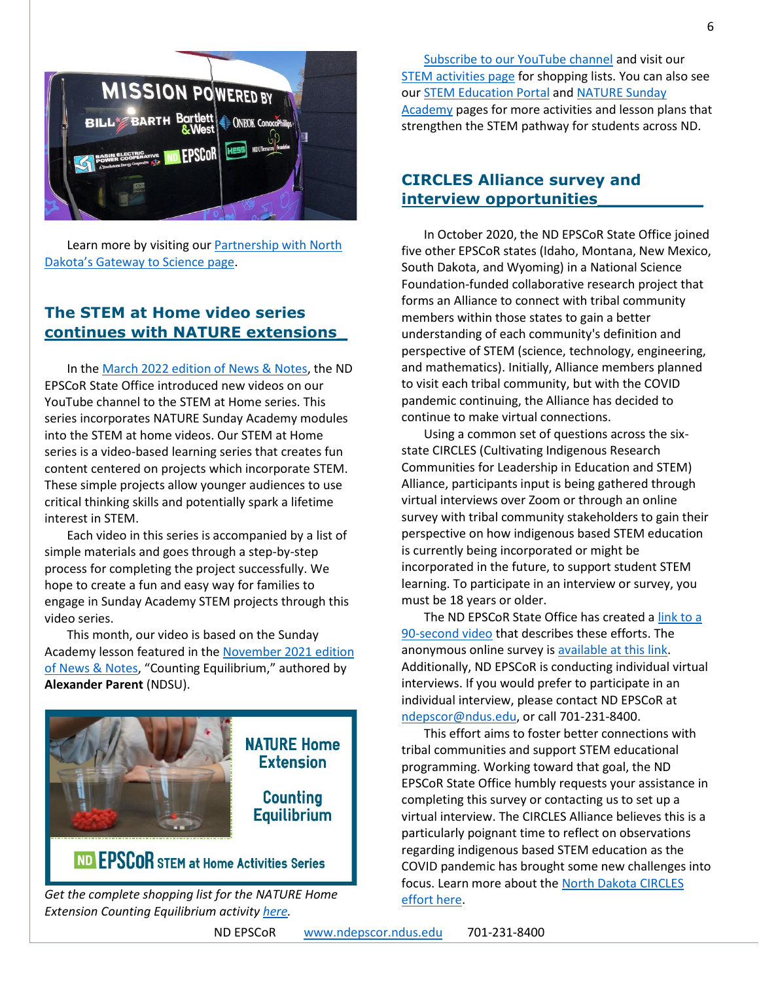

Learn more by visiting our **Partnership with North** [Dakota's Gateway to Science page](https://www.ndepscor.ndus.edu/education/gateway_to_science/).

# **The STEM at Home video series continues with NATURE extensions\_**

In th[e March 2022 edition of News & Notes,](https://www.ndepscor.ndus.edu/fileadmin/ndus/ndepscor/News_and_Notes_Newsletters/News_and_Notes_Newsletter_2022_March.pdf) the ND EPSCoR State Office introduced new videos on our YouTube channel to the STEM at Home series. This series incorporates NATURE Sunday Academy modules into the STEM at home videos. Our STEM at Home series is a video-based learning series that creates fun content centered on projects which incorporate STEM. These simple projects allow younger audiences to use critical thinking skills and potentially spark a lifetime interest in STEM.

Each video in this series is accompanied by a list of simple materials and goes through a step-by-step process for completing the project successfully. We hope to create a fun and easy way for families to engage in Sunday Academy STEM projects through this video series.

This month, our video is based on the Sunday Academy lesson featured in the [November](https://www.ndepscor.ndus.edu/fileadmin/ndus/ndepscor/News_and_Notes_Newsletters/News_and_Notes_Newsletter_2021_November.pdf) 2021 edition [of News & Notes,](https://www.ndepscor.ndus.edu/fileadmin/ndus/ndepscor/News_and_Notes_Newsletters/News_and_Notes_Newsletter_2021_November.pdf) "Counting Equilibrium," authored by **Alexander Parent** (NDSU).



*Get the complete shopping list for the NATURE Home Extension Counting Equilibrium activity [here.](https://bit.ly/3keJhZz)*

[Subscribe to our YouTube channel](https://bit.ly/ndepscorchannel) and visit our [STEM activities page](https://www.ndepscor.ndus.edu/ndepscorprograms/stem_at_home_activities/) for shopping lists. You can also see our **STEM Education Portal and NATURE Sunday** [Academy](https://www.ndepscor.ndus.edu/ndep/nature/sunday-academy/) pages for more activities and lesson plans that strengthen the STEM pathway for students across ND.

# **CIRCLES Alliance survey and interview opportunities\_\_\_\_\_\_\_\_\_\_**

In October 2020, the ND EPSCoR State Office joined five other EPSCoR states (Idaho, Montana, New Mexico, South Dakota, and Wyoming) in a National Science Foundation-funded collaborative research project that forms an Alliance to connect with tribal community members within those states to gain a better understanding of each community's definition and perspective of STEM (science, technology, engineering, and mathematics). Initially, Alliance members planned to visit each tribal community, but with the COVID pandemic continuing, the Alliance has decided to continue to make virtual connections.

Using a common set of questions across the sixstate CIRCLES (Cultivating Indigenous Research Communities for Leadership in Education and STEM) Alliance, participants input is being gathered through virtual interviews over Zoom or through an online survey with tribal community stakeholders to gain their perspective on how indigenous based STEM education is currently being incorporated or might be incorporated in the future, to support student STEM learning. To participate in an interview or survey, you must be 18 years or older.

The ND EPSCoR State Office has created [a link to a](http://bit.ly/circlesalliance)  [90-second video](http://bit.ly/circlesalliance) that describes these efforts. The anonymous online survey is [available at this link.](https://ndstate.co1.qualtrics.com/jfe/form/SV_0vtVlLFJlzwWH2Z) Additionally, ND EPSCoR is conducting individual virtual interviews. If you would prefer to participate in an individual interview, please contact ND EPSCoR at [ndepscor@ndus.edu,](mailto:ndepscor@ndus.edu) or call 701-231-8400.

This effort aims to foster better connections with tribal communities and support STEM educational programming. Working toward that goal, the ND EPSCoR State Office humbly requests your assistance in completing this survey or contacting us to set up a virtual interview. The CIRCLES Alliance believes this is a particularly poignant time to reflect on observations regarding indigenous based STEM education as the COVID pandemic has brought some new challenges into focus. Learn more about the [North Dakota CIRCLES](https://www.ndepscor.ndus.edu/ndepscorprograms/circles_alliance_prime_institution_umt_2020_2022/)  [effort here.](https://www.ndepscor.ndus.edu/ndepscorprograms/circles_alliance_prime_institution_umt_2020_2022/)

ND EPSCoR [www.ndepscor.ndus.edu](http://www.ndepscor.ndus.edu/) 701-231-8400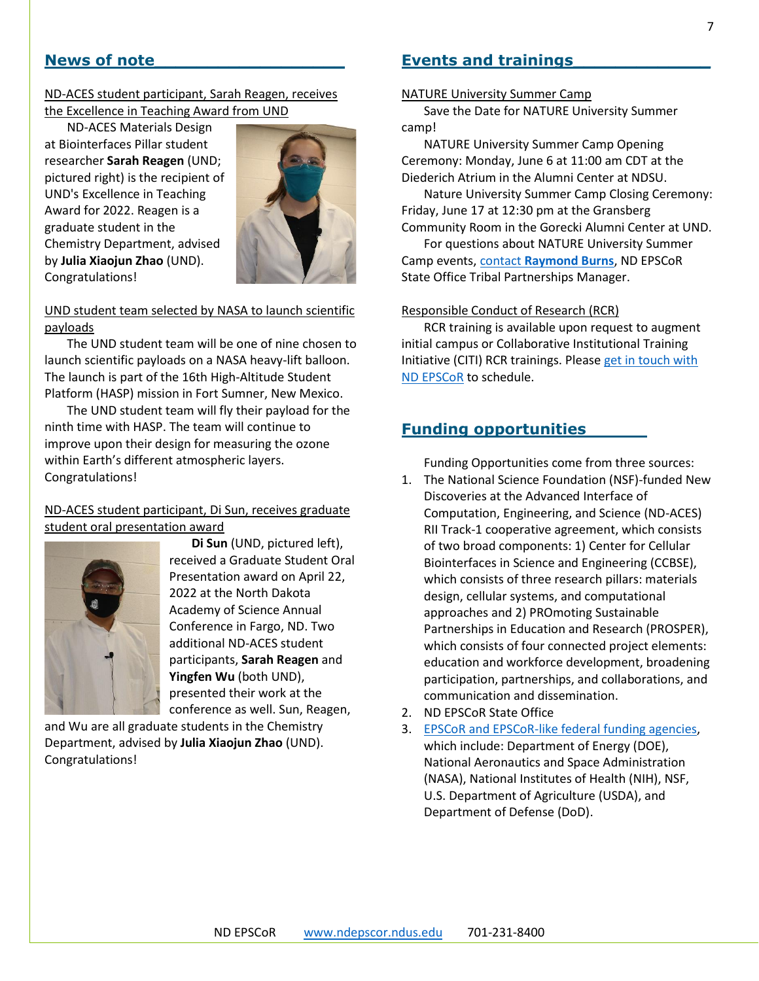## **News of note\_\_\_\_\_\_\_\_\_\_\_\_\_\_\_\_\_\_**

#### ND-ACES student participant, Sarah Reagen, receives the Excellence in Teaching Award from UND

ND-ACES Materials Design at Biointerfaces Pillar student researcher **Sarah Reagen** (UND; pictured right) is the recipient of UND's Excellence in Teaching Award for 2022. Reagen is a graduate student in the Chemistry Department, advised by **Julia Xiaojun Zhao** (UND). Congratulations!



#### UND student team selected by NASA to launch scientific payloads

The UND student team will be one of nine chosen to launch scientific payloads on a NASA heavy-lift balloon. The launch is part of the 16th High-Altitude Student Platform (HASP) mission in Fort Sumner, New Mexico.

The UND student team will fly their payload for the ninth time with HASP. The team will continue to improve upon their design for measuring the ozone within Earth's different atmospheric layers. Congratulations!

## ND-ACES student participant, Di Sun, receives graduate student oral presentation award



**Di Sun** (UND, pictured left), received a Graduate Student Oral Presentation award on April 22, 2022 at the North Dakota Academy of Science Annual Conference in Fargo, ND. Two additional ND-ACES student participants, **Sarah Reagen** and **Yingfen Wu** (both UND), presented their work at the conference as well. Sun, Reagen,

and Wu are all graduate students in the Chemistry Department, advised by **Julia Xiaojun Zhao** (UND). Congratulations!

# **Events and trainings\_\_\_\_\_\_\_\_\_\_\_\_\_**

#### NATURE University Summer Camp

Save the Date for NATURE University Summer camp!

NATURE University Summer Camp Opening Ceremony: Monday, June 6 at 11:00 am CDT at the Diederich Atrium in the Alumni Center at NDSU.

Nature University Summer Camp Closing Ceremony: Friday, June 17 at 12:30 pm at the Gransberg Community Room in the Gorecki Alumni Center at UND.

For questions about NATURE University Summer Camp events, contact **[Raymond Burns](mailto:raymond.burns@ndsu.edu)**, ND EPSCoR State Office Tribal Partnerships Manager.

#### Responsible Conduct of Research (RCR)

RCR training is available upon request to augment initial campus or Collaborative Institutional Training Initiative (CITI) RCR trainings. Please [get in touch with](mailto:ndepscor@ndus.edu)  [ND EPSCoR](mailto:ndepscor@ndus.edu) to schedule.

## **Funding opportunities**

Funding Opportunities come from three sources:

- 1. The National Science Foundation (NSF)-funded New Discoveries at the Advanced Interface of Computation, Engineering, and Science (ND-ACES) RII Track-1 cooperative agreement, which consists of two broad components: 1) Center for Cellular Biointerfaces in Science and Engineering (CCBSE), which consists of three research pillars: materials design, cellular systems, and computational approaches and 2) PROmoting Sustainable Partnerships in Education and Research (PROSPER), which consists of four connected project elements: education and workforce development, broadening participation, partnerships, and collaborations, and communication and dissemination.
- 2. ND EPSCoR State Office
- 3. [EPSCoR and EPSCoR-like federal funding agencies,](https://www.nsf.gov/od/oia/programs/epscor/nsf_oiia_epscor_epscor_eicc.jsp) which include: Department of Energy (DOE), National Aeronautics and Space Administration (NASA), National Institutes of Health (NIH), NSF, U.S. Department of Agriculture (USDA), and Department of Defense (DoD).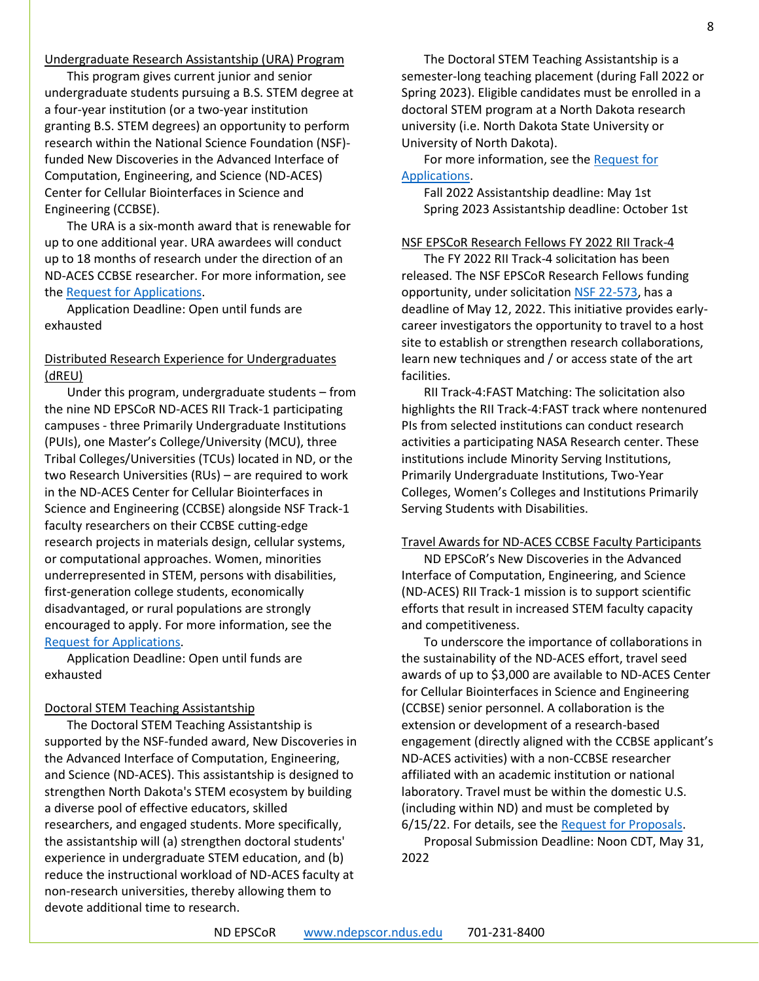This program gives current junior and senior undergraduate students pursuing a B.S. STEM degree at a four-year institution (or a two-year institution granting B.S. STEM degrees) an opportunity to perform research within the National Science Foundation (NSF) funded New Discoveries in the Advanced Interface of Computation, Engineering, and Science (ND-ACES) Center for Cellular Biointerfaces in Science and Engineering (CCBSE).

The URA is a six-month award that is renewable for up to one additional year. URA awardees will conduct up to 18 months of research under the direction of an ND-ACES CCBSE researcher. For more information, see the [Request for Applications.](https://www.ndepscor.ndus.edu/fileadmin/ndus/ndepscor/Undergraduate_Research_Assistantship/URA_2022.23RFA_reopened.pdf)

Application Deadline: Open until funds are exhausted

#### Distributed Research Experience for Undergraduates (dREU)

Under this program, undergraduate students – from the nine ND EPSCoR ND-ACES RII Track-1 participating campuses - three Primarily Undergraduate Institutions (PUIs), one Master's College/University (MCU), three Tribal Colleges/Universities (TCUs) located in ND, or the two Research Universities (RUs) – are required to work in the ND-ACES Center for Cellular Biointerfaces in Science and Engineering (CCBSE) alongside NSF Track-1 faculty researchers on their CCBSE cutting-edge research projects in materials design, cellular systems, or computational approaches. Women, minorities underrepresented in STEM, persons with disabilities, first-generation college students, economically disadvantaged, or rural populations are strongly encouraged to apply. For more information, see the [Request for Applications.](https://www.ndepscor.ndus.edu/fileadmin/ndus/ndepscor/REU/2022_dREU_RFA.pdf)

Application Deadline: Open until funds are exhausted

#### Doctoral STEM Teaching Assistantship

The Doctoral STEM Teaching Assistantship is supported by the NSF-funded award, New Discoveries in the Advanced Interface of Computation, Engineering, and Science (ND-ACES). This assistantship is designed to strengthen North Dakota's STEM ecosystem by building a diverse pool of effective educators, skilled researchers, and engaged students. More specifically, the assistantship will (a) strengthen doctoral students' experience in undergraduate STEM education, and (b) reduce the instructional workload of ND-ACES faculty at non-research universities, thereby allowing them to devote additional time to research.

The Doctoral STEM Teaching Assistantship is a semester-long teaching placement (during Fall 2022 or Spring 2023). Eligible candidates must be enrolled in a doctoral STEM program at a North Dakota research university (i.e. North Dakota State University or University of North Dakota).

For more information, see the [Request for](https://www.ndepscor.ndus.edu/fileadmin/ndus/ndepscor/STEM/STEM_Teaching_Asst_2022.pdf)  [Applications.](https://www.ndepscor.ndus.edu/fileadmin/ndus/ndepscor/STEM/STEM_Teaching_Asst_2022.pdf)

Fall 2022 Assistantship deadline: May 1st Spring 2023 Assistantship deadline: October 1st

#### NSF EPSCoR Research Fellows FY 2022 RII Track-4

The FY 2022 RII Track-4 solicitation has been released. The NSF EPSCoR Research Fellows funding opportunity, under solicitatio[n NSF 22-573,](https://beta.nsf.gov/funding/opportunities/epscor-research-infrastructure-improvement-track-4-epscor-research-fellows) has a deadline of May 12, 2022. This initiative provides earlycareer investigators the opportunity to travel to a host site to establish or strengthen research collaborations, learn new techniques and / or access state of the art facilities.

RII Track-4:FAST Matching: The solicitation also highlights the RII Track-4:FAST track where nontenured PIs from selected institutions can conduct research activities a participating NASA Research center. These institutions include Minority Serving Institutions, Primarily Undergraduate Institutions, Two-Year Colleges, Women's Colleges and Institutions Primarily Serving Students with Disabilities.

#### Travel Awards for ND-ACES CCBSE Faculty Participants

ND EPSCoR's New Discoveries in the Advanced Interface of Computation, Engineering, and Science (ND-ACES) RII Track-1 mission is to support scientific efforts that result in increased STEM faculty capacity and competitiveness.

To underscore the importance of collaborations in the sustainability of the ND-ACES effort, travel seed awards of up to \$3,000 are available to ND-ACES Center for Cellular Biointerfaces in Science and Engineering (CCBSE) senior personnel. A collaboration is the extension or development of a research-based engagement (directly aligned with the CCBSE applicant's ND-ACES activities) with a non-CCBSE researcher affiliated with an academic institution or national laboratory. Travel must be within the domestic U.S. (including within ND) and must be completed by 6/15/22. For details, see the [Request for Proposals.](https://www.ndepscor.ndus.edu/fileadmin/ndus/ndepscor/TravelAwards/EPSCoRTravelAwardsRFP_April2022.pdf)

Proposal Submission Deadline: Noon CDT, May 31, 2022